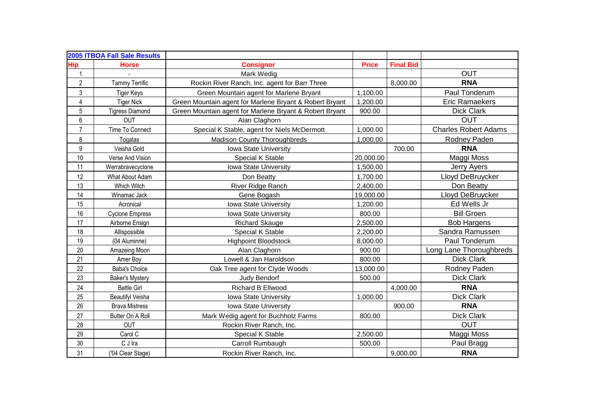|                  | 2005 ITBOA Fall Sale Results |                                                         |              |                  |                             |
|------------------|------------------------------|---------------------------------------------------------|--------------|------------------|-----------------------------|
| <b>Hip</b>       | <b>Horse</b>                 | <b>Consignor</b>                                        | <b>Price</b> | <b>Final Bid</b> |                             |
| $\mathbf{1}$     |                              | Mark Wedig                                              |              |                  | <b>OUT</b>                  |
| $\overline{2}$   | <b>Tammy Terrific</b>        | Rockin River Ranch, Inc. agent for Barr Three           |              | 8,000.00         | <b>RNA</b>                  |
| 3                | <b>Tiger Keys</b>            | Green Mountain agent for Marlene Bryant                 | 1,100.00     |                  | Paul Tonderum               |
| 4                | <b>Tiger Nick</b>            | Green Mountain agent for Marlene Bryant & Robert Bryant | 1,200.00     |                  | <b>Eric Ramaekers</b>       |
| 5                | <b>Tigress Diamond</b>       | Green Mountain agent for Marlene Bryant & Robert Bryant | 900.00       |                  | <b>Dick Clark</b>           |
| 6                | <b>OUT</b>                   | Alan Claghorn                                           |              |                  | <b>OUT</b>                  |
| $\overline{7}$   | Time To Connect              | Special K Stable, agent for Niels McDermott             | 1,000.00     |                  | <b>Charles Robert Adams</b> |
| 8                | Togatas                      | <b>Madison County Thoroughbreds</b>                     | 1,000.00     |                  | Rodney Paden                |
| $\boldsymbol{9}$ | Veisha Gold                  | Iowa State University                                   |              | 700.00           | <b>RNA</b>                  |
| 10               | Verse And Vision             | Special K Stable                                        | 20,000.00    |                  | Maggi Moss                  |
| 11               | Werrabravecyclone            | Iowa State University                                   | 1,500.00     |                  | Jerry Ayers                 |
| 12               | What About Adam              | Don Beatty                                              | 1,700.00     |                  | Lloyd DeBruycker            |
| 13               | Which Witch                  | River Ridge Ranch                                       | 2,400.00     |                  | Don Beatty                  |
| 14               | Winamac Jack                 | Gene Bogash                                             | 19,000.00    |                  | Lloyd DeBruycker            |
| 15               | Acronical                    | Iowa State University                                   | 1,200.00     |                  | Ed Wells Jr                 |
| 16               | <b>Cyclone Empress</b>       | Iowa State University                                   | 800.00       |                  | <b>Bill Groen</b>           |
| 17               | Airborne Ensign              | <b>Richard Skauge</b>                                   | 2,500.00     |                  | <b>Bob Hargens</b>          |
| 18               | Allispossible                | Special K Stable                                        | 2,200.00     |                  | Sandra Ramussen             |
| 19               | (04 Aluminne)                | <b>Highpoint Bloodstock</b>                             | 8,000.00     |                  | Paul Tonderum               |
| 20               | Amazeing Moon                | Alan Claghorn                                           | 900.00       |                  | Long Lane Thoroughbreds     |
| 21               | Amer Boy                     | Lowell & Jan Haroldson                                  | 800.00       |                  | <b>Dick Clark</b>           |
| 22               | <b>Baba's Choice</b>         | Oak Tree agent for Clyde Woods                          | 13,000.00    |                  | Rodney Paden                |
| 23               | <b>Baker's Mystery</b>       | Judy Bendorf                                            | 500.00       |                  | <b>Dick Clark</b>           |
| 24               | <b>Battle Girl</b>           | Richard B Ellwood                                       |              | 4,000.00         | <b>RNA</b>                  |
| 25               | <b>Beautifyl Veisha</b>      | <b>Iowa State University</b>                            | 1,000.00     |                  | Dick Clark                  |
| 26               | <b>Brava Mistress</b>        | <b>Iowa State University</b>                            |              | 900.00           | <b>RNA</b>                  |
| 27               | Butter On A Roll             | Mark Wedig agent for Buchholz Farms                     | 800.00       |                  | <b>Dick Clark</b>           |
| 28               | <b>OUT</b>                   | Rockin River Ranch, Inc.                                |              |                  | <b>OUT</b>                  |
| 29               | Carol C                      | Special K Stable                                        | 2,500.00     |                  | Maggi Moss                  |
| 30               | C J Ira                      | Carroll Rumbaugh                                        | 500.00       |                  | Paul Bragg                  |
| 31               | ('04 Clear Stage)            | Rockin River Ranch, Inc.                                |              | 9,000.00         | <b>RNA</b>                  |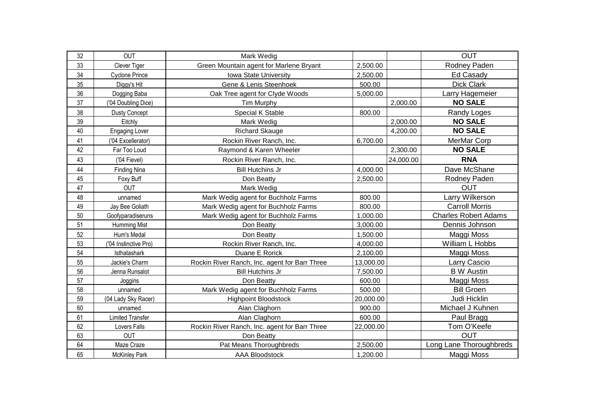| 32 | <b>OUT</b>              | Mark Wedig                                    |           |           | <b>OUT</b>                  |
|----|-------------------------|-----------------------------------------------|-----------|-----------|-----------------------------|
| 33 | Clever Tiger            | Green Mountain agent for Marlene Bryant       | 2,500.00  |           | Rodney Paden                |
| 34 | <b>Cyclone Prince</b>   | Iowa State University                         | 2,500.00  |           | <b>Ed Casady</b>            |
| 35 | Diggy's Hit             | Gene & Lenis Steenhoek                        | 500.00    |           | <b>Dick Clark</b>           |
| 36 | Dogging Baba            | Oak Tree agent for Clyde Woods                | 5,000.00  |           | Larry Hagemeier             |
| 37 | ('04 Doubling Dice)     | <b>Tim Murphy</b>                             |           | 2,000.00  | <b>NO SALE</b>              |
| 38 | <b>Dusty Concept</b>    | Special K Stable                              | 800.00    |           | Randy Loges                 |
| 39 | Eitchly                 | Mark Wedig                                    |           | 2,000.00  | <b>NO SALE</b>              |
| 40 | Engaging Lover          | <b>Richard Skauge</b>                         |           | 4,200.00  | <b>NO SALE</b>              |
| 41 | ('04 Excellerator)      | Rockin River Ranch, Inc.                      | 6,700.00  |           | MerMar Corp                 |
| 42 | Far Too Loud            | Raymond & Karen Wheeler                       |           | 2,300.00  | <b>NO SALE</b>              |
| 43 | ('04 Fievel)            | Rockin River Ranch, Inc.                      |           | 24,000.00 | <b>RNA</b>                  |
| 44 | <b>Finding Nina</b>     | <b>Bill Hutchins Jr</b>                       | 4,000.00  |           | Dave McShane                |
| 45 | Foxy Buff               | Don Beatty                                    | 2,500.00  |           | Rodney Paden                |
| 47 | <b>OUT</b>              | Mark Wedig                                    |           |           | <b>OUT</b>                  |
| 48 | unnamed                 | Mark Wedig agent for Buchholz Farms           | 800.00    |           | Larry Wilkerson             |
| 49 | Jay Bee Goliath         | Mark Wedig agent for Buchholz Farms           | 800.00    |           | <b>Carroll Morris</b>       |
| 50 | Goofyparadiseruns       | Mark Wedig agent for Buchholz Farms           | 1,000.00  |           | <b>Charles Robert Adams</b> |
| 51 | <b>Humming Mist</b>     | Don Beatty                                    | 3,000.00  |           | Dennis Johnson              |
| 52 | Hum's Medal             | Don Beatty                                    | 1,500.00  |           | Maggi Moss                  |
| 53 | ('04 Instinctive Pro)   | Rockin River Ranch, Inc.                      | 4,000.00  |           | William L Hobbs             |
| 54 | Isthatashark            | Duane E Rorick                                | 2,100.00  |           | Maggi Moss                  |
| 55 | Jackie's Charm          | Rockin River Ranch, Inc. agent for Barr Three | 13,000.00 |           | Larry Cascio                |
| 56 | Jenna Runsalot          | <b>Bill Hutchins Jr</b>                       | 7,500.00  |           | <b>B</b> W Austin           |
| 57 | Joggins                 | Don Beatty                                    | 600.00    |           | Maggi Moss                  |
| 58 | unnamed                 | Mark Wedig agent for Buchholz Farms           | 500.00    |           | <b>Bill Groen</b>           |
| 59 | (04 Lady Sky Racer)     | <b>Highpoint Bloodstock</b>                   | 20,000.00 |           | Judi Hicklin                |
| 60 | unnamed                 | Alan Claghorn                                 | 900.00    |           | Michael J Kuhnen            |
| 61 | <b>Limited Transfer</b> | Alan Claghorn                                 | 600.00    |           | Paul Bragg                  |
| 62 | Lovers Falls            | Rockin River Ranch, Inc. agent for Barr Three | 22,000.00 |           | Tom O'Keefe                 |
| 63 | <b>OUT</b>              | Don Beatty                                    |           |           | <b>OUT</b>                  |
| 64 | Maze Craze              | Pat Means Thoroughbreds                       | 2,500.00  |           | Long Lane Thoroughbreds     |
| 65 | <b>McKinley Park</b>    | <b>AAA Bloodstock</b>                         | 1,200.00  |           | Maggi Moss                  |